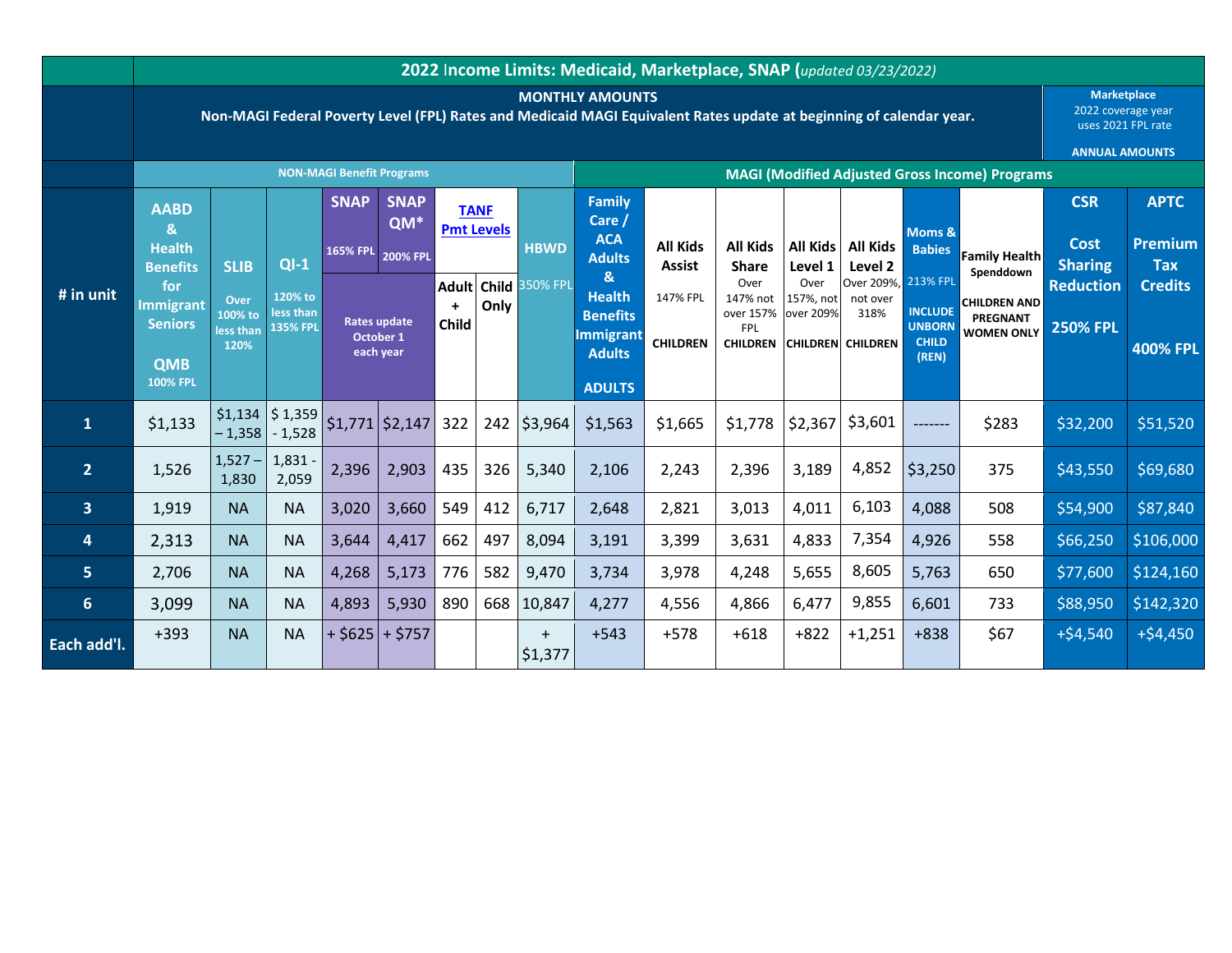|                         | 2022 Income Limits: Medicaid, Marketplace, SNAP (updated 03/23/2022)                                                                            |                                                     |                                                   |                                  |                                               |                                            |     |                      |                                                                                                        |                                  |                                                                |                                |                                                                     |                                                          |                                                      |                                                                |                       |  |
|-------------------------|-------------------------------------------------------------------------------------------------------------------------------------------------|-----------------------------------------------------|---------------------------------------------------|----------------------------------|-----------------------------------------------|--------------------------------------------|-----|----------------------|--------------------------------------------------------------------------------------------------------|----------------------------------|----------------------------------------------------------------|--------------------------------|---------------------------------------------------------------------|----------------------------------------------------------|------------------------------------------------------|----------------------------------------------------------------|-----------------------|--|
|                         | <b>MONTHLY AMOUNTS</b><br>Non-MAGI Federal Poverty Level (FPL) Rates and Medicaid MAGI Equivalent Rates update at beginning of calendar year.   |                                                     |                                                   |                                  |                                               |                                            |     |                      |                                                                                                        |                                  |                                                                |                                |                                                                     |                                                          |                                                      | <b>Marketplace</b><br>2022 coverage year<br>uses 2021 FPL rate |                       |  |
|                         |                                                                                                                                                 |                                                     |                                                   |                                  |                                               |                                            |     |                      |                                                                                                        |                                  | <b>ANNUAL AMOUNTS</b>                                          |                                |                                                                     |                                                          |                                                      |                                                                |                       |  |
|                         |                                                                                                                                                 |                                                     |                                                   | <b>NON-MAGI Benefit Programs</b> |                                               |                                            |     |                      | <b>MAGI (Modified Adjusted Gross Income) Programs</b>                                                  |                                  |                                                                |                                |                                                                     |                                                          |                                                      |                                                                |                       |  |
| $#$ in unit             | <b>AABD</b><br>$\mathbf{g}_i$<br><b>Health</b><br><b>Benefits</b><br>for<br><b>Immigrant</b><br><b>Seniors</b><br><b>QMB</b><br><b>100% FPL</b> | <b>SLIB</b><br>Over<br>100% to<br>less than<br>120% | $QI-1$<br>120% to<br>less than<br><b>135% FPL</b> | <b>SNAP</b>                      | <b>SNAP</b>                                   | <b>TANF</b>                                |     |                      | <b>Family</b>                                                                                          |                                  |                                                                |                                |                                                                     |                                                          |                                                      | <b>CSR</b>                                                     | <b>APTC</b>           |  |
|                         |                                                                                                                                                 |                                                     |                                                   | <b>165% FPL</b>                  | QM*<br><b>200% FPL</b>                        | <b>Pmt Levels</b>                          |     | <b>HBWD</b>          | Care /<br><b>ACA</b><br><b>Adults</b>                                                                  | <b>All Kids</b><br><b>Assist</b> | <b>All Kids</b><br><b>Share</b>                                | All Kids<br>Level 1            | <b>All Kids</b><br>Level 2                                          | Moms &<br><b>Babies</b>                                  | <b>Family Health</b><br>Spenddown                    | <b>Cost</b><br><b>Sharing</b>                                  | Premium<br><b>Tax</b> |  |
|                         |                                                                                                                                                 |                                                     |                                                   |                                  |                                               | <b>Adult</b><br>Only<br>$\ddot{}$<br>Child |     | Child 350% FPL       | $\mathbf{g}$<br><b>Health</b><br><b>Benefits</b><br><b>Immigrant</b><br><b>Adults</b><br><b>ADULTS</b> | 147% FPL<br><b>CHILDREN</b>      | Over<br>147% not<br>over 157%<br><b>FPL</b><br><b>CHILDREN</b> | Over<br>157%, not<br>over 209% | Over 209%, 213% FPL<br>not over<br>318%<br><b>CHILDREN</b> CHILDREN | <b>INCLUDE</b><br><b>UNBORN</b><br><b>CHILD</b><br>(REN) | <b>CHILDREN AND</b><br>PREGNANT<br><b>WOMEN ONLY</b> | <b>Reduction</b>                                               | <b>Credits</b>        |  |
|                         |                                                                                                                                                 |                                                     |                                                   |                                  | <b>Rates update</b><br>October 1<br>each year |                                            |     |                      |                                                                                                        |                                  |                                                                |                                |                                                                     |                                                          |                                                      | <b>250% FPL</b>                                                | <b>400% FPL</b>       |  |
| 1                       | \$1,133                                                                                                                                         | $-1,358$                                            | $$1,134$ $$1,359$<br>$-1,528$                     |                                  | $$1,771$ \$2,147                              | 322                                        |     | 242 \$3,964          | \$1,563                                                                                                | \$1,665                          | \$1,778                                                        | \$2,367                        | \$3,601                                                             | $------$                                                 | \$283                                                | \$32,200                                                       | \$51,520              |  |
| $\overline{2}$          | 1,526                                                                                                                                           | $1,527-$<br>1,830                                   | 1,831<br>2,059                                    | 2,396                            | 2,903                                         | 435                                        | 326 | 5,340                | 2,106                                                                                                  | 2,243                            | 2,396                                                          | 3,189                          | 4,852                                                               | \$3,250                                                  | 375                                                  | \$43,550                                                       | \$69,680              |  |
| $\overline{\mathbf{3}}$ | 1,919                                                                                                                                           | <b>NA</b>                                           | <b>NA</b>                                         | 3,020                            | 3,660                                         | 549                                        | 412 | 6,717                | 2,648                                                                                                  | 2,821                            | 3,013                                                          | 4,011                          | 6,103                                                               | 4,088                                                    | 508                                                  | \$54,900                                                       | \$87,840              |  |
| 4                       | 2,313                                                                                                                                           | <b>NA</b>                                           | <b>NA</b>                                         | 3,644                            | 4,417                                         | 662                                        | 497 | 8,094                | 3,191                                                                                                  | 3,399                            | 3,631                                                          | 4,833                          | 7,354                                                               | 4,926                                                    | 558                                                  | \$66,250                                                       | \$106,000             |  |
| 5 <sub>5</sub>          | 2,706                                                                                                                                           | <b>NA</b>                                           | <b>NA</b>                                         | 4,268                            | 5,173                                         | 776                                        | 582 | 9,470                | 3,734                                                                                                  | 3,978                            | 4,248                                                          | 5,655                          | 8,605                                                               | 5,763                                                    | 650                                                  | \$77,600                                                       | \$124,160             |  |
| $6\phantom{1}$          | 3,099                                                                                                                                           | <b>NA</b>                                           | <b>NA</b>                                         | 4,893                            | 5,930                                         | 890                                        | 668 | 10,847               | 4,277                                                                                                  | 4,556                            | 4,866                                                          | 6,477                          | 9,855                                                               | 6,601                                                    | 733                                                  | \$88,950                                                       | \$142,320             |  |
| Each add'l.             | $+393$                                                                                                                                          | <b>NA</b>                                           | <b>NA</b>                                         |                                  | $+$ \$625 + \$757                             |                                            |     | $\ddot{}$<br>\$1,377 | $+543$                                                                                                 | $+578$                           | $+618$                                                         | $+822$                         | $+1,251$                                                            | $+838$                                                   | \$67                                                 | $+ $4,540$                                                     | $+ $4,450$            |  |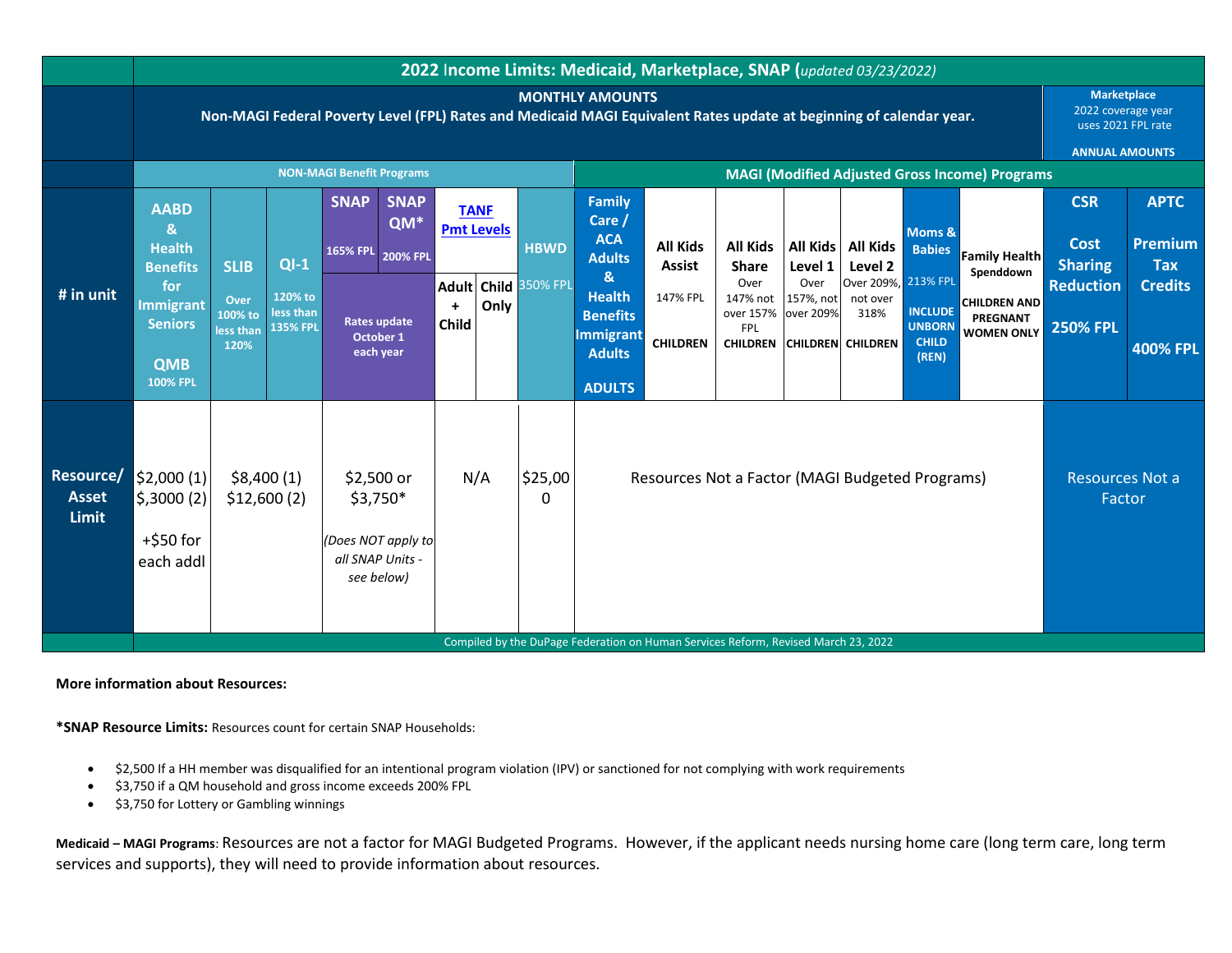|                                           |                                                                                                                                               | 2022 Income Limits: Medicaid, Marketplace, SNAP (updated 03/23/2022) |                                                   |                                                                                 |                    |                                    |      |                |                                                                                             |                                                 |                                                                |                                |                                                                     |                                                          |                                                                   |                                                                                         |                                      |
|-------------------------------------------|-----------------------------------------------------------------------------------------------------------------------------------------------|----------------------------------------------------------------------|---------------------------------------------------|---------------------------------------------------------------------------------|--------------------|------------------------------------|------|----------------|---------------------------------------------------------------------------------------------|-------------------------------------------------|----------------------------------------------------------------|--------------------------------|---------------------------------------------------------------------|----------------------------------------------------------|-------------------------------------------------------------------|-----------------------------------------------------------------------------------------|--------------------------------------|
|                                           | <b>MONTHLY AMOUNTS</b><br>Non-MAGI Federal Poverty Level (FPL) Rates and Medicaid MAGI Equivalent Rates update at beginning of calendar year. |                                                                      |                                                   |                                                                                 |                    |                                    |      |                |                                                                                             |                                                 |                                                                |                                |                                                                     |                                                          |                                                                   | <b>Marketplace</b><br>2022 coverage year<br>uses 2021 FPL rate<br><b>ANNUAL AMOUNTS</b> |                                      |
|                                           | <b>NON-MAGI Benefit Programs</b>                                                                                                              |                                                                      |                                                   |                                                                                 |                    |                                    |      |                |                                                                                             |                                                 | <b>MAGI (Modified Adjusted Gross Income) Programs</b>          |                                |                                                                     |                                                          |                                                                   |                                                                                         |                                      |
| # in unit                                 | <b>AABD</b><br>$\mathbf{g}$<br><b>Health</b><br><b>Benefits</b><br>for<br><b>Immigrant</b><br><b>Seniors</b><br><b>QMB</b><br><b>100% FPL</b> | <b>SLIB</b><br>Over<br>100% to<br>less than<br>120%                  | $QI-1$<br>120% to<br>less than<br><b>135% FPL</b> | <b>SNAP</b><br>165% FPL 200% FPL                                                | <b>SNAP</b><br>QM* | <b>TANF</b><br><b>Pmt Levels</b>   |      | <b>HBWD</b>    | <b>Family</b><br>Care /<br><b>ACA</b><br><b>Adults</b>                                      | <b>All Kids</b><br><b>Assist</b>                | <b>All Kids</b><br><b>Share</b>                                | All Kids<br>Level 1            | <b>All Kids</b><br>Level 2                                          | Moms &<br><b>Babies</b>                                  | <b>Family Health</b>                                              | <b>CSR</b><br><b>Cost</b><br><b>Sharing</b>                                             | <b>APTC</b><br>Premium<br><b>Tax</b> |
|                                           |                                                                                                                                               |                                                                      |                                                   | <b>Rates update</b><br>October 1<br>each year                                   |                    | <b>Adult</b><br>$\ddot{}$<br>Child | Only | Child 350% FPL | &<br><b>Health</b><br><b>Benefits</b><br><b>Immigrant</b><br><b>Adults</b><br><b>ADULTS</b> | 147% FPL<br><b>CHILDREN</b>                     | Over<br>147% not<br>over 157%<br><b>FPL</b><br><b>CHILDREN</b> | Over<br>157%, not<br>over 209% | Over 209%, 213% FPL<br>not over<br>318%<br><b>CHILDREN</b> CHILDREN | <b>INCLUDE</b><br><b>UNBORN</b><br><b>CHILD</b><br>(REN) | Spenddown<br><b>CHILDREN AND</b><br>PREGNANT<br><b>WOMEN ONLY</b> | <b>Reduction</b><br><b>250% FPL</b>                                                     | <b>Credits</b><br><b>400% FPL</b>    |
| Resource/<br><b>Asset</b><br><b>Limit</b> | \$2,000(1)<br>\$,3000(2)<br>$+$ \$50 for<br>each addl                                                                                         | \$8,400(1)<br>\$12,600(2)                                            |                                                   | \$2,500 or<br>$$3,750*$<br>(Does NOT apply to<br>all SNAP Units -<br>see below) |                    | N/A                                |      | \$25,00<br>0   |                                                                                             | Resources Not a Factor (MAGI Budgeted Programs) |                                                                |                                |                                                                     |                                                          |                                                                   | <b>Resources Not a</b><br>Factor                                                        |                                      |
|                                           |                                                                                                                                               |                                                                      |                                                   |                                                                                 |                    |                                    |      |                | Compiled by the DuPage Federation on Human Services Reform, Revised March 23, 2022          |                                                 |                                                                |                                |                                                                     |                                                          |                                                                   |                                                                                         |                                      |

**More information about Resources:**

**\*SNAP Resource Limits:** Resources count for certain SNAP Households:

- \$2,500 If a HH member was disqualified for an intentional program violation (IPV) or sanctioned for not complying with work requirements
- \$3,750 if a QM household and gross income exceeds 200% FPL
- \$3,750 for Lottery or Gambling winnings

**Medicaid – MAGI Programs**: Resources are not a factor for MAGI Budgeted Programs. However, if the applicant needs nursing home care (long term care, long term services and supports), they will need to provide information about resources.